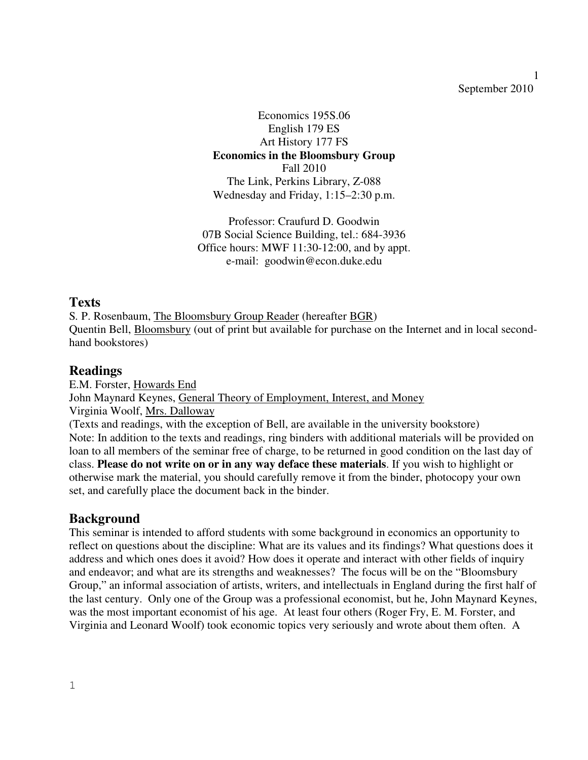#### 1 September 2010

Economics 195S.06 English 179 ES Art History 177 FS **Economics in the Bloomsbury Group**  Fall 2010 The Link, Perkins Library, Z-088 Wednesday and Friday, 1:15–2:30 p.m.

Professor: Craufurd D. Goodwin 07B Social Science Building, tel.: 684-3936 Office hours: MWF 11:30-12:00, and by appt. e-mail: goodwin@econ.duke.edu

#### **Texts**

S*.* P. Rosenbaum, The Bloomsbury Group Reader (hereafter BGR) Quentin Bell, Bloomsbury (out of print but available for purchase on the Internet and in local secondhand bookstores)

## **Readings**

E.M. Forster, Howards End John Maynard Keynes, General Theory of Employment, Interest, and Money Virginia Woolf, Mrs. Dalloway (Texts and readings, with the exception of Bell, are available in the university bookstore) Note: In addition to the texts and readings, ring binders with additional materials will be provided on loan to all members of the seminar free of charge, to be returned in good condition on the last day of class. **Please do not write on or in any way deface these materials**. If you wish to highlight or otherwise mark the material, you should carefully remove it from the binder, photocopy your own set, and carefully place the document back in the binder.

## **Background**

This seminar is intended to afford students with some background in economics an opportunity to reflect on questions about the discipline: What are its values and its findings? What questions does it address and which ones does it avoid? How does it operate and interact with other fields of inquiry and endeavor; and what are its strengths and weaknesses? The focus will be on the "Bloomsbury Group," an informal association of artists, writers, and intellectuals in England during the first half of the last century. Only one of the Group was a professional economist, but he, John Maynard Keynes, was the most important economist of his age. At least four others (Roger Fry, E. M. Forster, and Virginia and Leonard Woolf) took economic topics very seriously and wrote about them often. A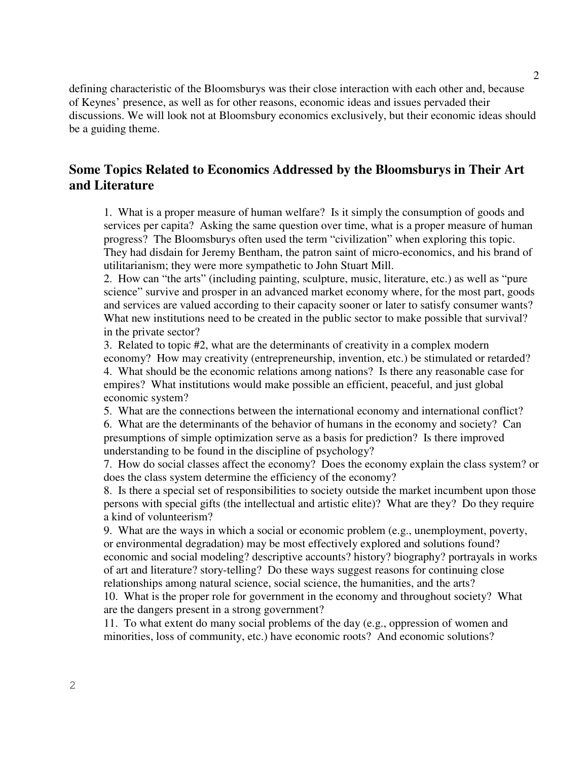defining characteristic of the Bloomsburys was their close interaction with each other and, because of Keynes' presence, as well as for other reasons, economic ideas and issues pervaded their discussions. We will look not at Bloomsbury economics exclusively, but their economic ideas should be a guiding theme.

## **Some Topics Related to Economics Addressed by the Bloomsburys in Their Art and Literature**

1. What is a proper measure of human welfare? Is it simply the consumption of goods and services per capita? Asking the same question over time, what is a proper measure of human progress? The Bloomsburys often used the term "civilization" when exploring this topic. They had disdain for Jeremy Bentham, the patron saint of micro-economics, and his brand of utilitarianism; they were more sympathetic to John Stuart Mill.

2. How can "the arts" (including painting, sculpture, music, literature, etc.) as well as "pure science" survive and prosper in an advanced market economy where, for the most part, goods and services are valued according to their capacity sooner or later to satisfy consumer wants? What new institutions need to be created in the public sector to make possible that survival? in the private sector?

3. Related to topic #2, what are the determinants of creativity in a complex modern economy? How may creativity (entrepreneurship, invention, etc.) be stimulated or retarded? 4. What should be the economic relations among nations? Is there any reasonable case for empires? What institutions would make possible an efficient, peaceful, and just global economic system?

5. What are the connections between the international economy and international conflict?

6. What are the determinants of the behavior of humans in the economy and society? Can presumptions of simple optimization serve as a basis for prediction? Is there improved understanding to be found in the discipline of psychology?

7. How do social classes affect the economy? Does the economy explain the class system? or does the class system determine the efficiency of the economy?

8. Is there a special set of responsibilities to society outside the market incumbent upon those persons with special gifts (the intellectual and artistic elite)? What are they? Do they require a kind of volunteerism?

9. What are the ways in which a social or economic problem (e.g., unemployment, poverty, or environmental degradation) may be most effectively explored and solutions found? economic and social modeling? descriptive accounts? history? biography? portrayals in works of art and literature? story-telling? Do these ways suggest reasons for continuing close relationships among natural science, social science, the humanities, and the arts?

10. What is the proper role for government in the economy and throughout society? What are the dangers present in a strong government?

11. To what extent do many social problems of the day (e.g., oppression of women and minorities, loss of community, etc.) have economic roots? And economic solutions?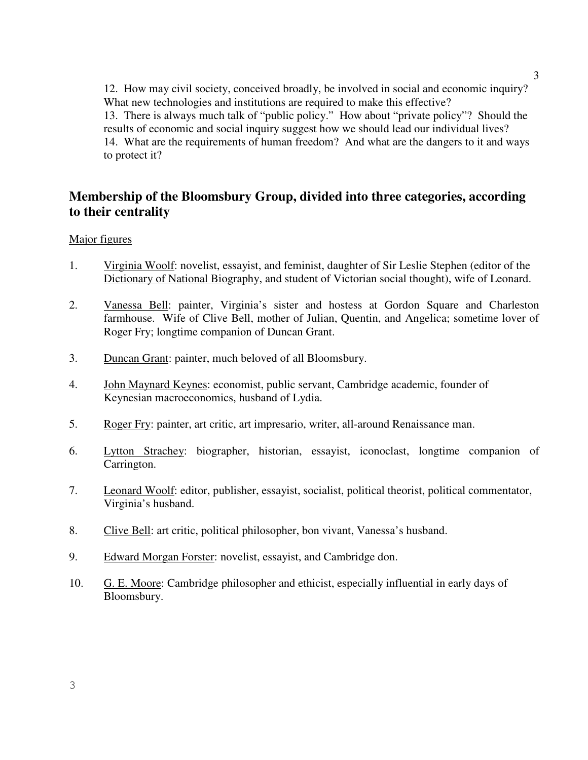12. How may civil society, conceived broadly, be involved in social and economic inquiry? What new technologies and institutions are required to make this effective? 13. There is always much talk of "public policy." How about "private policy"? Should the results of economic and social inquiry suggest how we should lead our individual lives? 14. What are the requirements of human freedom? And what are the dangers to it and ways to protect it?

## **Membership of the Bloomsbury Group, divided into three categories, according to their centrality**

#### Major figures

- 1. Virginia Woolf: novelist, essayist, and feminist, daughter of Sir Leslie Stephen (editor of the Dictionary of National Biography, and student of Victorian social thought), wife of Leonard.
- 2. Vanessa Bell: painter, Virginia's sister and hostess at Gordon Square and Charleston farmhouse. Wife of Clive Bell, mother of Julian, Quentin, and Angelica; sometime lover of Roger Fry; longtime companion of Duncan Grant.
- 3. Duncan Grant: painter, much beloved of all Bloomsbury.
- 4. John Maynard Keynes: economist, public servant, Cambridge academic, founder of Keynesian macroeconomics, husband of Lydia.
- 5. Roger Fry: painter, art critic, art impresario, writer, all-around Renaissance man.
- 6. Lytton Strachey: biographer, historian, essayist, iconoclast, longtime companion of Carrington.
- 7. Leonard Woolf: editor, publisher, essayist, socialist, political theorist, political commentator, Virginia's husband.
- 8. Clive Bell: art critic, political philosopher, bon vivant, Vanessa's husband.
- 9. Edward Morgan Forster: novelist, essayist, and Cambridge don.
- 10. G. E. Moore: Cambridge philosopher and ethicist, especially influential in early days of Bloomsbury.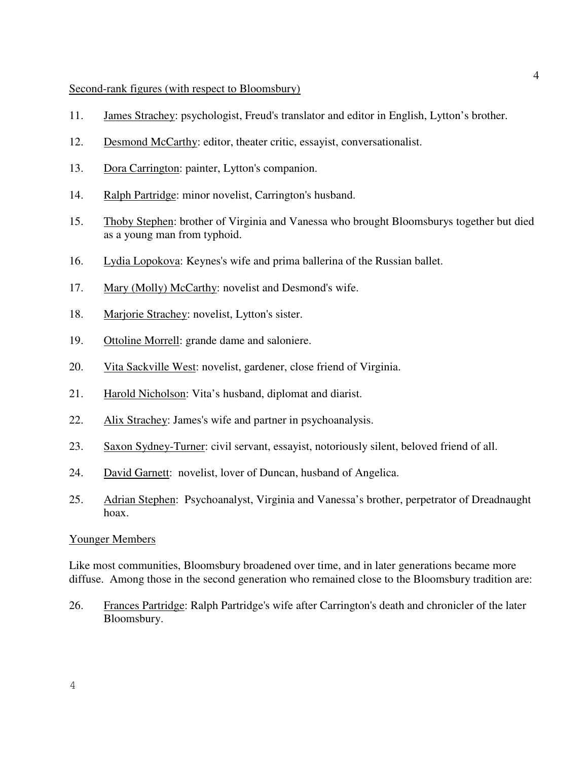#### Second-rank figures (with respect to Bloomsbury)

- 11. James Strachey: psychologist, Freud's translator and editor in English, Lytton's brother.
- 12. Desmond McCarthy: editor, theater critic, essayist, conversationalist.
- 13. Dora Carrington: painter, Lytton's companion.
- 14. Ralph Partridge: minor novelist, Carrington's husband.
- 15. Thoby Stephen: brother of Virginia and Vanessa who brought Bloomsburys together but died as a young man from typhoid.
- 16. Lydia Lopokova: Keynes's wife and prima ballerina of the Russian ballet.
- 17. Mary (Molly) McCarthy: novelist and Desmond's wife.
- 18. Marjorie Strachey: novelist, Lytton's sister.
- 19. Ottoline Morrell: grande dame and saloniere.
- 20. Vita Sackville West: novelist, gardener, close friend of Virginia.
- 21. Harold Nicholson: Vita's husband, diplomat and diarist.
- 22. Alix Strachey: James's wife and partner in psychoanalysis.
- 23. Saxon Sydney-Turner: civil servant, essayist, notoriously silent, beloved friend of all.
- 24. David Garnett: novelist, lover of Duncan, husband of Angelica.
- 25. Adrian Stephen: Psychoanalyst, Virginia and Vanessa's brother, perpetrator of Dreadnaught hoax.

#### Younger Members

Like most communities, Bloomsbury broadened over time, and in later generations became more diffuse. Among those in the second generation who remained close to the Bloomsbury tradition are:

26. Frances Partridge: Ralph Partridge's wife after Carrington's death and chronicler of the later Bloomsbury.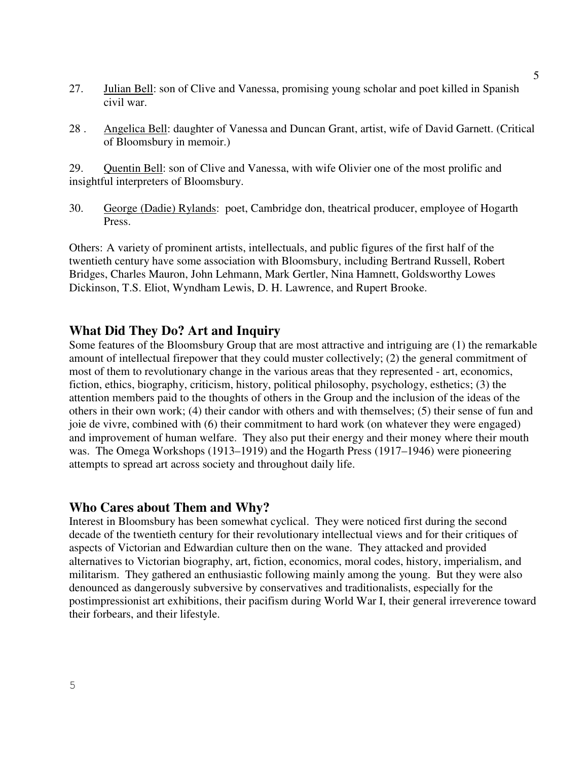- 27. **Julian Bell:** son of Clive and Vanessa, promising young scholar and poet killed in Spanish civil war.
- 28 . Angelica Bell: daughter of Vanessa and Duncan Grant, artist, wife of David Garnett. (Critical of Bloomsbury in memoir.)

29. Quentin Bell: son of Clive and Vanessa, with wife Olivier one of the most prolific and insightful interpreters of Bloomsbury.

30. George (Dadie) Rylands: poet, Cambridge don, theatrical producer, employee of Hogarth Press.

Others: A variety of prominent artists, intellectuals, and public figures of the first half of the twentieth century have some association with Bloomsbury, including Bertrand Russell, Robert Bridges, Charles Mauron, John Lehmann, Mark Gertler, Nina Hamnett, Goldsworthy Lowes Dickinson, T.S. Eliot, Wyndham Lewis, D. H. Lawrence, and Rupert Brooke.

#### **What Did They Do? Art and Inquiry**

Some features of the Bloomsbury Group that are most attractive and intriguing are (1) the remarkable amount of intellectual firepower that they could muster collectively; (2) the general commitment of most of them to revolutionary change in the various areas that they represented - art, economics, fiction, ethics, biography, criticism, history, political philosophy, psychology, esthetics; (3) the attention members paid to the thoughts of others in the Group and the inclusion of the ideas of the others in their own work; (4) their candor with others and with themselves; (5) their sense of fun and joie de vivre, combined with (6) their commitment to hard work (on whatever they were engaged) and improvement of human welfare. They also put their energy and their money where their mouth was. The Omega Workshops (1913–1919) and the Hogarth Press (1917–1946) were pioneering attempts to spread art across society and throughout daily life.

#### **Who Cares about Them and Why?**

Interest in Bloomsbury has been somewhat cyclical. They were noticed first during the second decade of the twentieth century for their revolutionary intellectual views and for their critiques of aspects of Victorian and Edwardian culture then on the wane. They attacked and provided alternatives to Victorian biography, art, fiction, economics, moral codes, history, imperialism, and militarism. They gathered an enthusiastic following mainly among the young. But they were also denounced as dangerously subversive by conservatives and traditionalists, especially for the postimpressionist art exhibitions, their pacifism during World War I, their general irreverence toward their forbears, and their lifestyle.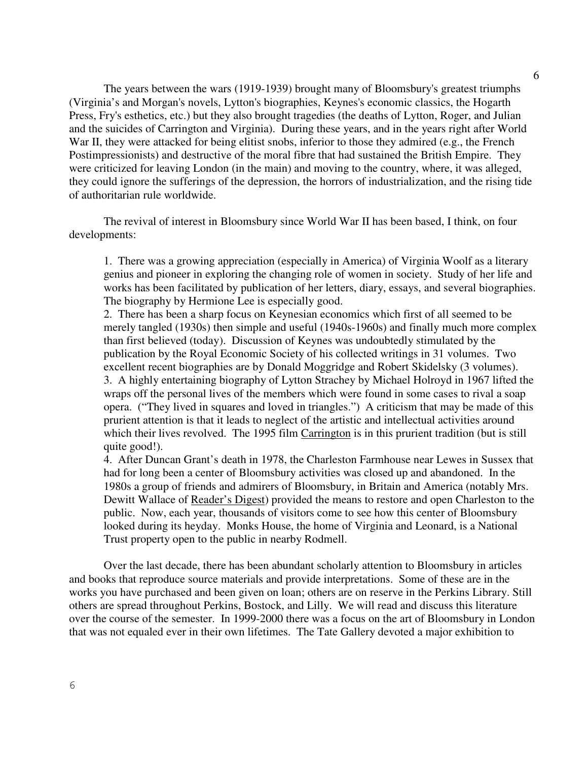The years between the wars (1919-1939) brought many of Bloomsbury's greatest triumphs (Virginia's and Morgan's novels, Lytton's biographies, Keynes's economic classics, the Hogarth Press, Fry's esthetics, etc.) but they also brought tragedies (the deaths of Lytton, Roger, and Julian and the suicides of Carrington and Virginia). During these years, and in the years right after World War II, they were attacked for being elitist snobs, inferior to those they admired (e.g., the French Postimpressionists) and destructive of the moral fibre that had sustained the British Empire. They were criticized for leaving London (in the main) and moving to the country, where, it was alleged, they could ignore the sufferings of the depression, the horrors of industrialization, and the rising tide of authoritarian rule worldwide.

The revival of interest in Bloomsbury since World War II has been based, I think, on four developments:

1. There was a growing appreciation (especially in America) of Virginia Woolf as a literary genius and pioneer in exploring the changing role of women in society. Study of her life and works has been facilitated by publication of her letters, diary, essays, and several biographies. The biography by Hermione Lee is especially good.

2. There has been a sharp focus on Keynesian economics which first of all seemed to be merely tangled (1930s) then simple and useful (1940s-1960s) and finally much more complex than first believed (today). Discussion of Keynes was undoubtedly stimulated by the publication by the Royal Economic Society of his collected writings in 31 volumes. Two excellent recent biographies are by Donald Moggridge and Robert Skidelsky (3 volumes). 3. A highly entertaining biography of Lytton Strachey by Michael Holroyd in 1967 lifted the wraps off the personal lives of the members which were found in some cases to rival a soap opera. ("They lived in squares and loved in triangles.") A criticism that may be made of this prurient attention is that it leads to neglect of the artistic and intellectual activities around which their lives revolved. The 1995 film Carrington is in this prurient tradition (but is still quite good!).

4. After Duncan Grant's death in 1978, the Charleston Farmhouse near Lewes in Sussex that had for long been a center of Bloomsbury activities was closed up and abandoned. In the 1980s a group of friends and admirers of Bloomsbury, in Britain and America (notably Mrs. Dewitt Wallace of Reader's Digest) provided the means to restore and open Charleston to the public. Now, each year, thousands of visitors come to see how this center of Bloomsbury looked during its heyday. Monks House, the home of Virginia and Leonard, is a National Trust property open to the public in nearby Rodmell.

Over the last decade, there has been abundant scholarly attention to Bloomsbury in articles and books that reproduce source materials and provide interpretations. Some of these are in the works you have purchased and been given on loan; others are on reserve in the Perkins Library. Still others are spread throughout Perkins, Bostock, and Lilly. We will read and discuss this literature over the course of the semester. In 1999-2000 there was a focus on the art of Bloomsbury in London that was not equaled ever in their own lifetimes. The Tate Gallery devoted a major exhibition to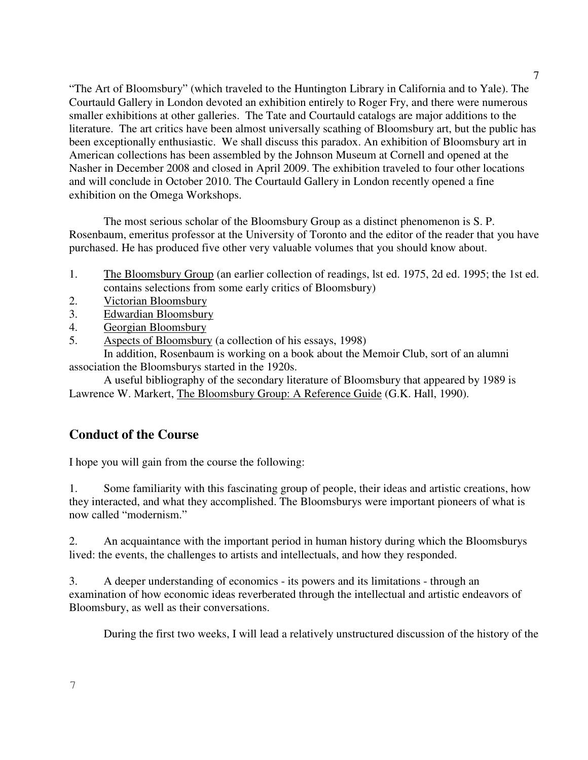"The Art of Bloomsbury" (which traveled to the Huntington Library in California and to Yale). The Courtauld Gallery in London devoted an exhibition entirely to Roger Fry, and there were numerous smaller exhibitions at other galleries. The Tate and Courtauld catalogs are major additions to the literature. The art critics have been almost universally scathing of Bloomsbury art, but the public has been exceptionally enthusiastic. We shall discuss this paradox. An exhibition of Bloomsbury art in American collections has been assembled by the Johnson Museum at Cornell and opened at the Nasher in December 2008 and closed in April 2009. The exhibition traveled to four other locations and will conclude in October 2010. The Courtauld Gallery in London recently opened a fine exhibition on the Omega Workshops.

The most serious scholar of the Bloomsbury Group as a distinct phenomenon is S. P. Rosenbaum, emeritus professor at the University of Toronto and the editor of the reader that you have purchased. He has produced five other very valuable volumes that you should know about.

- 1. The Bloomsbury Group (an earlier collection of readings, lst ed. 1975, 2d ed. 1995; the 1st ed. contains selections from some early critics of Bloomsbury)
- 2. Victorian Bloomsbury
- 3. Edwardian Bloomsbury
- 4. Georgian Bloomsbury
- 5. Aspects of Bloomsbury (a collection of his essays, 1998)

 In addition, Rosenbaum is working on a book about the Memoir Club, sort of an alumni association the Bloomsburys started in the 1920s.

 A useful bibliography of the secondary literature of Bloomsbury that appeared by 1989 is Lawrence W. Markert, The Bloomsbury Group: A Reference Guide (G.K. Hall, 1990).

## **Conduct of the Course**

I hope you will gain from the course the following:

1. Some familiarity with this fascinating group of people, their ideas and artistic creations, how they interacted, and what they accomplished. The Bloomsburys were important pioneers of what is now called "modernism."

2. An acquaintance with the important period in human history during which the Bloomsburys lived: the events, the challenges to artists and intellectuals, and how they responded.

3. A deeper understanding of economics - its powers and its limitations - through an examination of how economic ideas reverberated through the intellectual and artistic endeavors of Bloomsbury, as well as their conversations.

During the first two weeks, I will lead a relatively unstructured discussion of the history of the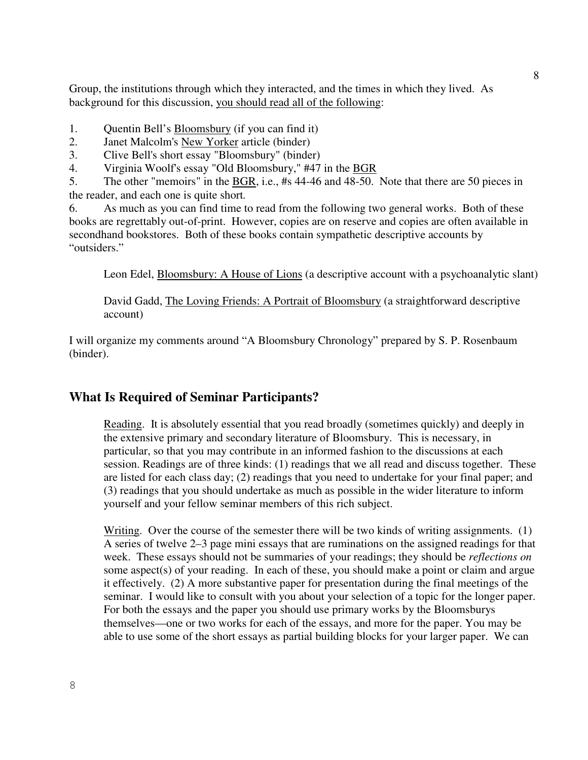Group, the institutions through which they interacted, and the times in which they lived. As background for this discussion, you should read all of the following:

- 1. Quentin Bell's Bloomsbury (if you can find it)
- 2. Janet Malcolm's New Yorker article (binder)
- 3. Clive Bell's short essay "Bloomsbury" (binder)
- 4. Virginia Woolf's essay "Old Bloomsbury," #47 in the BGR

5. The other "memoirs" in the BGR, i.e., #s 44-46 and 48-50. Note that there are 50 pieces in the reader, and each one is quite short*.*

6. As much as you can find time to read from the following two general works. Both of these books are regrettably out-of-print. However, copies are on reserve and copies are often available in secondhand bookstores. Both of these books contain sympathetic descriptive accounts by "outsiders."

Leon Edel, Bloomsbury: A House of Lions (a descriptive account with a psychoanalytic slant)

David Gadd, The Loving Friends: A Portrait of Bloomsbury (a straightforward descriptive account)

I will organize my comments around "A Bloomsbury Chronology" prepared by S. P. Rosenbaum (binder).

## **What Is Required of Seminar Participants?**

Reading. It is absolutely essential that you read broadly (sometimes quickly) and deeply in the extensive primary and secondary literature of Bloomsbury. This is necessary, in particular, so that you may contribute in an informed fashion to the discussions at each session. Readings are of three kinds: (1) readings that we all read and discuss together. These are listed for each class day; (2) readings that you need to undertake for your final paper; and (3) readings that you should undertake as much as possible in the wider literature to inform yourself and your fellow seminar members of this rich subject.

Writing. Over the course of the semester there will be two kinds of writing assignments. (1) A series of twelve 2–3 page mini essays that are ruminations on the assigned readings for that week. These essays should not be summaries of your readings; they should be *reflections on* some aspect(s) of your reading. In each of these, you should make a point or claim and argue it effectively. (2) A more substantive paper for presentation during the final meetings of the seminar. I would like to consult with you about your selection of a topic for the longer paper. For both the essays and the paper you should use primary works by the Bloomsburys themselves—one or two works for each of the essays, and more for the paper. You may be able to use some of the short essays as partial building blocks for your larger paper. We can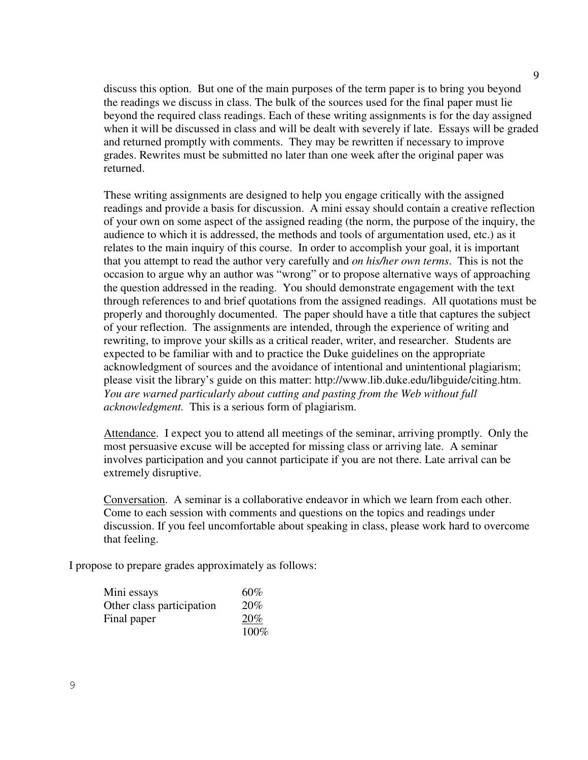discuss this option. But one of the main purposes of the term paper is to bring you beyond the readings we discuss in class. The bulk of the sources used for the final paper must lie beyond the required class readings. Each of these writing assignments is for the day assigned when it will be discussed in class and will be dealt with severely if late. Essays will be graded and returned promptly with comments. They may be rewritten if necessary to improve grades. Rewrites must be submitted no later than one week after the original paper was returned.

These writing assignments are designed to help you engage critically with the assigned readings and provide a basis for discussion. A mini essay should contain a creative reflection of your own on some aspect of the assigned reading (the norm, the purpose of the inquiry, the audience to which it is addressed, the methods and tools of argumentation used, etc.) as it relates to the main inquiry of this course. In order to accomplish your goal, it is important that you attempt to read the author very carefully and *on his/her own terms*. This is not the occasion to argue why an author was "wrong" or to propose alternative ways of approaching the question addressed in the reading. You should demonstrate engagement with the text through references to and brief quotations from the assigned readings. All quotations must be properly and thoroughly documented. The paper should have a title that captures the subject of your reflection. The assignments are intended, through the experience of writing and rewriting, to improve your skills as a critical reader, writer, and researcher. Students are expected to be familiar with and to practice the Duke guidelines on the appropriate acknowledgment of sources and the avoidance of intentional and unintentional plagiarism; please visit the library's guide on this matter: http://www.lib.duke.edu/libguide/citing.htm. *You are warned particularly about cutting and pasting from the Web without full acknowledgment.* This is a serious form of plagiarism.

Attendance. I expect you to attend all meetings of the seminar, arriving promptly. Only the most persuasive excuse will be accepted for missing class or arriving late. A seminar involves participation and you cannot participate if you are not there. Late arrival can be extremely disruptive.

Conversation. A seminar is a collaborative endeavor in which we learn from each other. Come to each session with comments and questions on the topics and readings under discussion. If you feel uncomfortable about speaking in class, please work hard to overcome that feeling.

I propose to prepare grades approximately as follows:

| Mini essays               | $60\%$ |
|---------------------------|--------|
| Other class participation | 20%    |
| Final paper               | 20%    |
|                           | 100%   |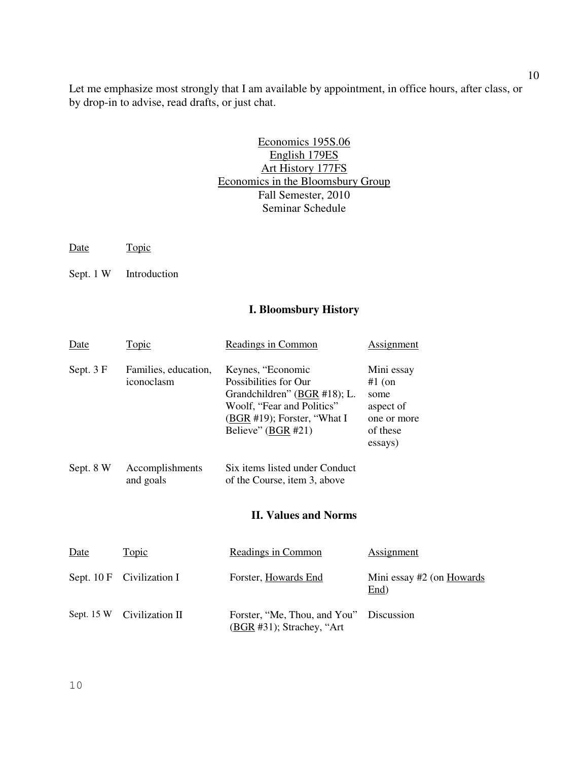Let me emphasize most strongly that I am available by appointment, in office hours, after class, or by drop-in to advise, read drafts, or just chat.

#### Economics 195S.06 English 179ES Art History 177FS Economics in the Bloomsbury Group Fall Semester, 2010 Seminar Schedule

Date Topic

Sept. 1 W Introduction

#### **I. Bloomsbury History**

| Date        | <b>Topic</b>                       | Readings in Common                                                                                                                                                 | <b>Assignment</b>                                                                 |
|-------------|------------------------------------|--------------------------------------------------------------------------------------------------------------------------------------------------------------------|-----------------------------------------------------------------------------------|
| Sept. 3 F   | Families, education,<br>iconoclasm | Keynes, "Economic<br>Possibilities for Our<br>Grandchildren" $(BGR #18)$ ; L.<br>Woolf, "Fear and Politics"<br>(BGR #19); Forster, "What I<br>Believe" $(BGR #21)$ | Mini essay<br>$#1$ (on<br>some<br>aspect of<br>one or more<br>of these<br>essays) |
| Sept. 8 W   | Accomplishments<br>and goals       | Six items listed under Conduct<br>of the Course, item 3, above                                                                                                     |                                                                                   |
|             |                                    | <b>II. Values and Norms</b>                                                                                                                                        |                                                                                   |
| Date        | <u>Topic</u>                       | Readings in Common                                                                                                                                                 | <b>Assignment</b>                                                                 |
| Sept. $10F$ | Civilization I                     | Forster, Howards End                                                                                                                                               | Mini essay #2 (on Howards<br>End)                                                 |
| Sept. $15W$ | Civilization II                    | Forster, "Me, Thou, and You"<br>(BGR #31); Strachey, "Art                                                                                                          | Discussion                                                                        |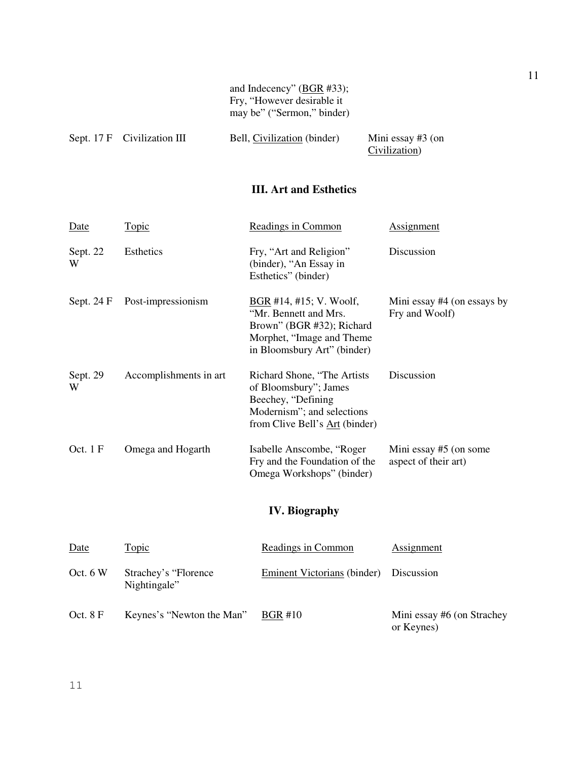|                             | and Indecency" (BGR #33);<br>Fry, "However desirable it<br>may be" ("Sermon," binder) |                                      |  |
|-----------------------------|---------------------------------------------------------------------------------------|--------------------------------------|--|
| Sept. 17 F Civilization III | Bell, Civilization (binder)                                                           | Mini essay $#3$ (on<br>Civilization) |  |

## **III. Art and Esthetics**

| <b>Date</b>   | <u>Topic</u>                         | Readings in Common                                                                                                                           | <b>Assignment</b>                                |
|---------------|--------------------------------------|----------------------------------------------------------------------------------------------------------------------------------------------|--------------------------------------------------|
| Sept. 22<br>W | Esthetics                            | Fry, "Art and Religion"<br>(binder), "An Essay in<br>Esthetics" (binder)                                                                     | Discussion                                       |
| Sept. 24 F    | Post-impressionism                   | $BGR$ #14, #15; V. Woolf,<br>"Mr. Bennett and Mrs.<br>Brown" (BGR #32); Richard<br>Morphet, "Image and Theme"<br>in Bloomsbury Art" (binder) | Mini essay #4 (on essays by<br>Fry and Woolf)    |
| Sept. 29<br>W | Accomplishments in art               | Richard Shone, "The Artists<br>of Bloomsbury"; James<br>Beechey, "Defining<br>Modernism"; and selections<br>from Clive Bell's Art (binder)   | Discussion                                       |
| Oct. 1 F      | Omega and Hogarth                    | Isabelle Anscombe, "Roger<br>Fry and the Foundation of the<br>Omega Workshops" (binder)                                                      | Mini essay $#5$ (on some<br>aspect of their art) |
|               |                                      | <b>IV. Biography</b>                                                                                                                         |                                                  |
| Date          | <b>Topic</b>                         | <b>Readings in Common</b>                                                                                                                    | <b>Assignment</b>                                |
| Oct. $6W$     | Strachey's "Florence<br>Nightingale" | <b>Eminent Victorians</b> (binder)                                                                                                           | Discussion                                       |

Keynes's "Newton the Man"  $BGR #10$ Mini essay #6 (on Strachey<br>or Keynes)

Oct. 8 F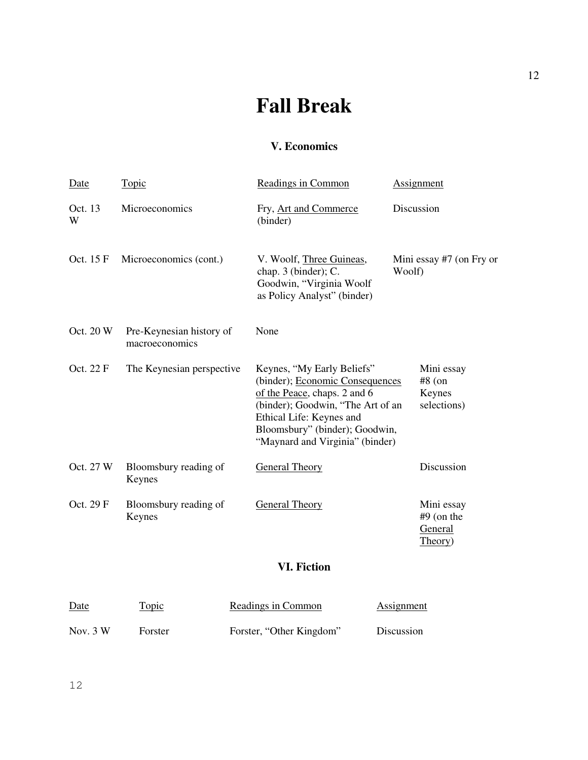# **Fall Break**

## **V. Economics**

| Date         | <b>Topic</b>                               | Readings in Common                                                                                                                                                                                                                  | <b>Assignment</b>                                |
|--------------|--------------------------------------------|-------------------------------------------------------------------------------------------------------------------------------------------------------------------------------------------------------------------------------------|--------------------------------------------------|
| Oct. 13<br>W | Microeconomics                             | Fry, Art and Commerce<br>(binder)                                                                                                                                                                                                   | Discussion                                       |
| Oct. 15 F    | Microeconomics (cont.)                     | V. Woolf, Three Guineas,<br>chap. 3 (binder); C.<br>Goodwin, "Virginia Woolf<br>as Policy Analyst" (binder)                                                                                                                         | Mini essay #7 (on Fry or<br>Woolf)               |
| Oct. 20 W    | Pre-Keynesian history of<br>macroeconomics | None                                                                                                                                                                                                                                |                                                  |
| Oct. 22 F    | The Keynesian perspective                  | Keynes, "My Early Beliefs"<br>(binder); Economic Consequences<br>of the Peace, chaps. 2 and 6<br>(binder); Goodwin, "The Art of an<br>Ethical Life: Keynes and<br>Bloomsbury" (binder); Goodwin,<br>"Maynard and Virginia" (binder) | Mini essay<br>$#8$ (on<br>Keynes<br>selections)  |
| Oct. 27 W    | Bloomsbury reading of<br>Keynes            | <b>General Theory</b>                                                                                                                                                                                                               | Discussion                                       |
| Oct. 29 F    | Bloomsbury reading of<br>Keynes            | <b>General Theory</b>                                                                                                                                                                                                               | Mini essay<br>$#9$ (on the<br>General<br>Theory) |
|              |                                            | <b>VI. Fiction</b>                                                                                                                                                                                                                  |                                                  |
| Date         | Topic                                      | Readings in Common                                                                                                                                                                                                                  | <b>Assignment</b>                                |
| Nov. 3 W     | Forster                                    | Forster, "Other Kingdom"                                                                                                                                                                                                            | Discussion                                       |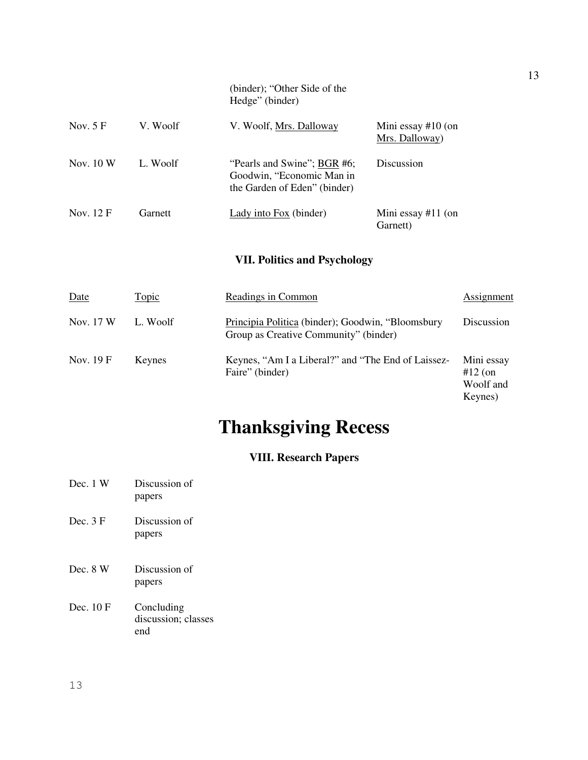|            |          | (binder); "Other Side of the<br>Hedge" (binder)                                          |                                        |
|------------|----------|------------------------------------------------------------------------------------------|----------------------------------------|
| Nov. $5 F$ | V. Woolf | V. Woolf, Mrs. Dalloway                                                                  | Mini essay $#10$ (on<br>Mrs. Dalloway) |
| Nov. $10W$ | L. Woolf | "Pearls and Swine"; BGR #6;<br>Goodwin, "Economic Man in<br>the Garden of Eden" (binder) | Discussion                             |
| Nov. 12 F  | Garnett  | Lady into Fox (binder)                                                                   | Mini essay $#11$ (on<br>Garnett)       |

## **VII. Politics and Psychology**

| Date      | Topic    | Readings in Common                                                                         | Assignment                                      |
|-----------|----------|--------------------------------------------------------------------------------------------|-------------------------------------------------|
| Nov. 17 W | L. Woolf | Principia Politica (binder); Goodwin, "Bloomsbury<br>Group as Creative Community" (binder) | Discussion                                      |
| Nov. 19 F | Keynes   | Keynes, "Am I a Liberal?" and "The End of Laissez-<br>Faire" (binder)                      | Mini essay<br>$#12$ (on<br>Woolf and<br>Keynes) |

# **Thanksgiving Recess**

# **VIII. Research Papers**

| Dec. 1 W            | Discussion of<br>papers                  |
|---------------------|------------------------------------------|
| Dec. $3 \text{ F}$  | Discussion of<br>papers                  |
| Dec. 8 W            | Discussion of<br>papers                  |
| Dec. $10 \text{ F}$ | Concluding<br>discussion; classes<br>end |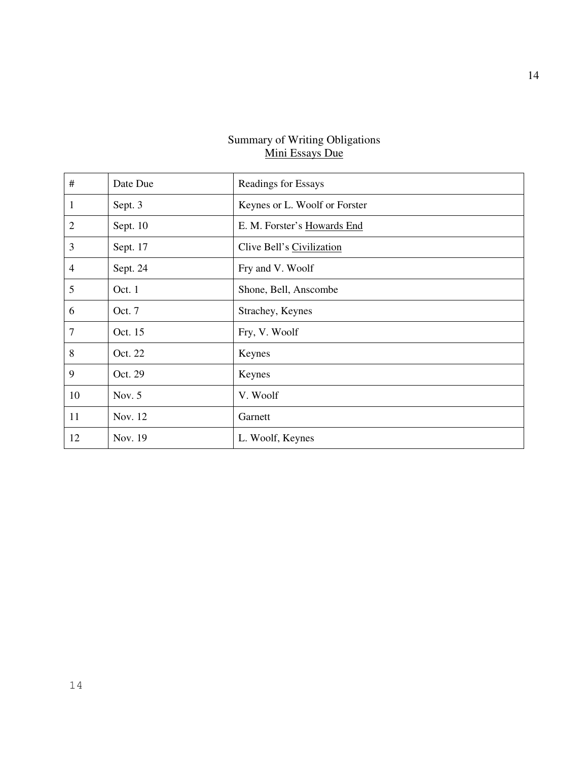#### Summary of Writing Obligations Mini Essays Due

| #              | Date Due | Readings for Essays           |
|----------------|----------|-------------------------------|
| 1              | Sept. 3  | Keynes or L. Woolf or Forster |
| $\overline{2}$ | Sept. 10 | E. M. Forster's Howards End   |
| 3              | Sept. 17 | Clive Bell's Civilization     |
| 4              | Sept. 24 | Fry and V. Woolf              |
| 5              | Oct. 1   | Shone, Bell, Anscombe         |
| 6              | Oct. 7   | Strachey, Keynes              |
| 7              | Oct. 15  | Fry, V. Woolf                 |
| 8              | Oct. 22  | Keynes                        |
| 9              | Oct. 29  | Keynes                        |
| 10             | Nov. 5   | V. Woolf                      |
| 11             | Nov. 12  | Garnett                       |
| 12             | Nov. 19  | L. Woolf, Keynes              |